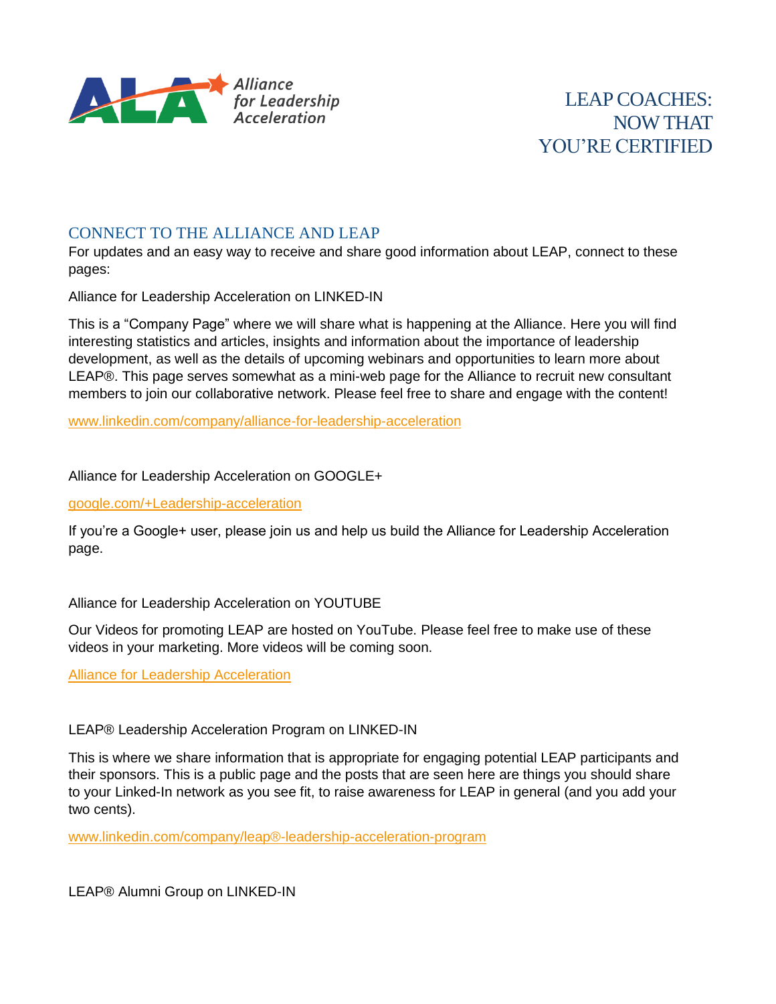

## CONNECT TO THE ALLIANCE AND LEAP

For updates and an easy way to receive and share good information about LEAP, connect to these pages:

Alliance for Leadership Acceleration on LINKED-IN

This is a "Company Page" where we will share what is happening at the Alliance. Here you will find interesting statistics and articles, insights and information about the importance of leadership development, as well as the details of upcoming webinars and opportunities to learn more about LEAP®. This page serves somewhat as a mini-web page for the Alliance to recruit new consultant members to join our collaborative network. Please feel free to share and engage with the content!

[www.linkedin.com/company/alliance-for-leadership-acceleration](http://www.linkedin.com/company/alliance-for-leadership-acceleration)

Alliance for Leadership Acceleration on GOOGLE+

[google.com/+Leadership-acceleration](https://www.google.com/+Leadership-acceleration)

If you're a Google+ user, please join us and help us build the Alliance for Leadership Acceleration page.

Alliance for Leadership Acceleration on YOUTUBE

Our Videos for promoting LEAP are hosted on YouTube. Please feel free to make use of these videos in your marketing. More videos will be coming soon.

[Alliance for Leadership Acceleration](http://www.youtube.com/channel/UC6wSQujYqsD91PJqTpn_vSA)

LEAP® Leadership Acceleration Program on LINKED-IN

This is where we share information that is appropriate for engaging potential LEAP participants and their sponsors. This is a public page and the posts that are seen here are things you should share to your Linked-In network as you see fit, to raise awareness for LEAP in general (and you add your two cents).

[www.linkedin.com/company/leap®-leadership-acceleration-program](http://www.linkedin.com/company/leap®-leadership-acceleration-program)

LEAP® Alumni Group on LINKED-IN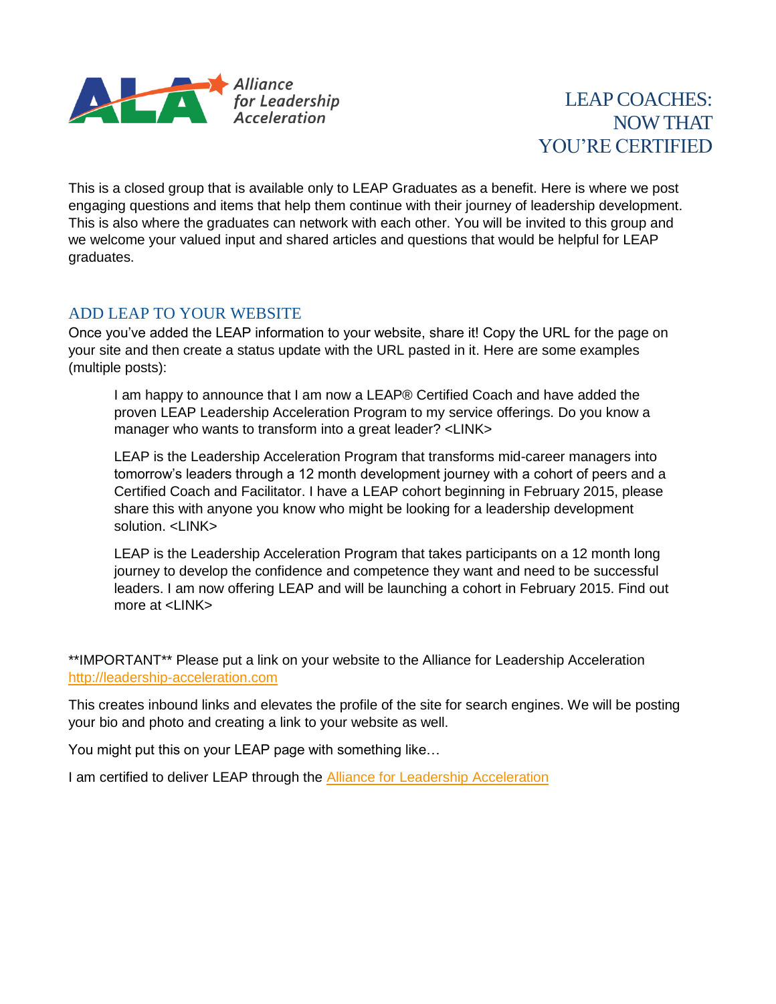

This is a closed group that is available only to LEAP Graduates as a benefit. Here is where we post engaging questions and items that help them continue with their journey of leadership development. This is also where the graduates can network with each other. You will be invited to this group and we welcome your valued input and shared articles and questions that would be helpful for LEAP graduates.

## ADD LEAP TO YOUR WEBSITE

Once you've added the LEAP information to your website, share it! Copy the URL for the page on your site and then create a status update with the URL pasted in it. Here are some examples (multiple posts):

I am happy to announce that I am now a LEAP® Certified Coach and have added the proven LEAP Leadership Acceleration Program to my service offerings. Do you know a manager who wants to transform into a great leader? <LINK>

LEAP is the Leadership Acceleration Program that transforms mid-career managers into tomorrow's leaders through a 12 month development journey with a cohort of peers and a Certified Coach and Facilitator. I have a LEAP cohort beginning in February 2015, please share this with anyone you know who might be looking for a leadership development solution. <I INK>

LEAP is the Leadership Acceleration Program that takes participants on a 12 month long journey to develop the confidence and competence they want and need to be successful leaders. I am now offering LEAP and will be launching a cohort in February 2015. Find out more at <LINK>

\*\*IMPORTANT\*\* Please put a link on your website to the Alliance for Leadership Acceleration [http://leadership-acceleration.com](http://leadership-acceleration.com/)

This creates inbound links and elevates the profile of the site for search engines. We will be posting your bio and photo and creating a link to your website as well.

You might put this on your LEAP page with something like…

I am certified to deliver LEAP through the **Alliance for Leadership Acceleration**